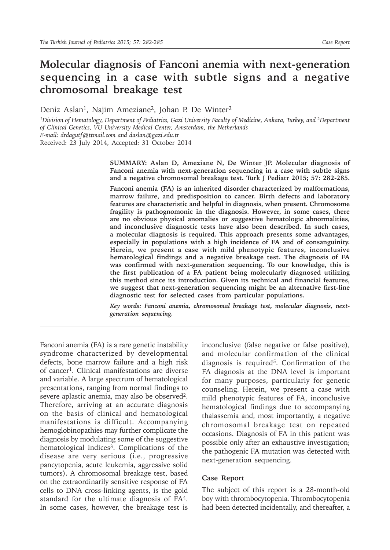## **Molecular diagnosis of Fanconi anemia with next-generation sequencing in a case with subtle signs and a negative chromosomal breakage test**

Deniz Aslan<sup>1</sup>, Najim Ameziane<sup>2</sup>, Johan P. De Winter<sup>2</sup>

*1Division of Hematology, Department of Pediatrics, Gazi University Faculty of Medicine, Ankara, Turkey, and 2Department of Clinical Genetics, VU University Medical Center, Amsterdam, the Netherlands E-mail: drdagutf@ttmail.com and daslan@gazi.edu.tr* Received: 23 July 2014, Accepted: 31 October 2014

> **SUMMARY: Aslan D, Ameziane N, De Winter JP. Molecular diagnosis of Fanconi anemia with next-generation sequencing in a case with subtle signs and a negative chromosomal breakage test. Turk J Pediatr 2015; 57: 282-285.**

> **Fanconi anemia (FA) is an inherited disorder characterized by malformations, marrow failure, and predisposition to cancer. Birth defects and laboratory features are characteristic and helpful in diagnosis, when present. Chromosome fragility is pathognomonic in the diagnosis. However, in some cases, there are no obvious physical anomalies or suggestive hematologic abnormalities, and inconclusive diagnostic tests have also been described. In such cases, a molecular diagnosis is required. This approach presents some advantages, especially in populations with a high incidence of FA and of consanguinity. Herein, we present a case with mild phenotypic features, inconclusive hematological findings and a negative breakage test. The diagnosis of FA was confirmed with next-generation sequencing. To our knowledge, this is the first publication of a FA patient being molecularly diagnosed utilizing this method since its introduction. Given its technical and financial features, we suggest that next-generation sequencing might be an alternative first-line diagnostic test for selected cases from particular populations.**

> *Key words: Fanconi anemia, chromosomal breakage test, molecular diagnosis, nextgeneration sequencing.*

Fanconi anemia (FA) is a rare genetic instability syndrome characterized by developmental defects, bone marrow failure and a high risk of cancer<sup>1</sup>. Clinical manifestations are diverse and variable. A large spectrum of hematological presentations, ranging from normal findings to severe aplastic anemia, may also be observed2. Therefore, arriving at an accurate diagnosis on the basis of clinical and hematological manifestations is difficult. Accompanying hemoglobinopathies may further complicate the diagnosis by modulating some of the suggestive hematological indices<sup>3</sup>. Complications of the disease are very serious (i.e., progressive pancytopenia, acute leukemia, aggressive solid tumors). A chromosomal breakage test, based on the extraordinarily sensitive response of FA cells to DNA cross-linking agents, is the gold standard for the ultimate diagnosis of FA4. In some cases, however, the breakage test is

inconclusive (false negative or false positive), and molecular confirmation of the clinical diagnosis is required<sup>5</sup>. Confirmation of the FA diagnosis at the DNA level is important for many purposes, particularly for genetic counseling. Herein, we present a case with mild phenotypic features of FA, inconclusive hematological findings due to accompanying thalassemia and, most importantly, a negative chromosomal breakage test on repeated occasions. Diagnosis of FA in this patient was possible only after an exhaustive investigation; the pathogenic FA mutation was detected with next-generation sequencing.

## **Case Report**

The subject of this report is a 28-month-old boy with thrombocytopenia. Thrombocytopenia had been detected incidentally, and thereafter, a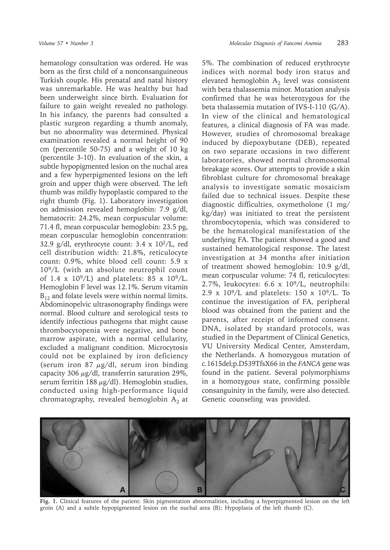hematology consultation was ordered. He was born as the first child of a nonconsanguineous Turkish couple. His prenatal and natal history was unremarkable. He was healthy but had been underweight since birth. Evaluation for failure to gain weight revealed no pathology. In his infancy, the parents had consulted a plastic surgeon regarding a thumb anomaly, but no abnormality was determined. Physical examination revealed a normal height of 90 cm (percentile 50-75) and a weight of 10 kg (percentile 3-10). In evaluation of the skin, a subtle hypopigmented lesion on the nuchal area and a few hyperpigmented lesions on the left groin and upper thigh were observed. The left thumb was mildly hypoplastic compared to the right thumb (Fig. 1). Laboratory investigation on admission revealed hemoglobin: 7.9 g/dl, hematocrit: 24.2%, mean corpuscular volume: 71.4 fl, mean corpuscular hemoglobin: 23.5 pg, mean corpuscular hemoglobin concentration: 32.9 g/dl, erythrocyte count: 3.4 x 102/L, red cell distribution width: 21.8%, reticulocyte count: 0.9%, white blood cell count: 5.9 x 109/L (with an absolute neutrophil count of 1.4 x  $10^{9}/L$ ) and platelets: 85 x  $10^{9}/L$ . Hemoglobin F level was 12.1%. Serum vitamin  $B_{12}$  and folate levels were within normal limits. Abdominopelvic ultrasonography findings were normal. Blood culture and serological tests to identify infectious pathogens that might cause thrombocytopenia were negative, and bone marrow aspirate, with a normal cellularity, excluded a malignant condition. Microcytosis could not be explained by iron deficiency (serum iron 87  $\mu$ g/dl, serum iron binding capacity 306  $\mu$ g/dl, transferrin saturation 29%, serum ferritin 188  $\mu$ g/dl). Hemoglobin studies, conducted using high-performance liquid

chromatography, revealed hemoglobin  $A_2$  at

5%. The combination of reduced erythrocyte indices with normal body iron status and elevated hemoglobin  $A_2$  level was consistent with beta thalassemia minor. Mutation analysis confirmed that he was heterozygous for the beta thalassemia mutation of IVS-I-110 (G/A). In view of the clinical and hematological features, a clinical diagnosis of FA was made. However, studies of chromosomal breakage induced by diepoxybutane (DEB), repeated on two separate occasions in two different laboratories, showed normal chromosomal breakage scores. Our attempts to provide a skin fibroblast culture for chromosomal breakage analysis to investigate somatic mosaicism failed due to technical issues. Despite these diagnostic difficulties, oxymetholone (1 mg/ kg/day) was initiated to treat the persistent thrombocytopenia, which was considered to be the hematological manifestation of the underlying FA. The patient showed a good and sustained hematological response. The latest investigation at 34 months after initiation of treatment showed hemoglobin: 10.9 g/dl, mean corpuscular volume: 74 fl, reticulocytes: 2.7%, leukocytes: 6.6 x 109/L, neutrophils: 2.9 x  $10^9$ /L and platelets: 150 x  $10^9$ /L. To continue the investigation of FA, peripheral blood was obtained from the patient and the parents, after receipt of informed consent. DNA, isolated by standard protocols, was studied in the Department of Clinical Genetics, VU University Medical Center, Amsterdam, the Netherlands. A homozygous mutation of c.1615del;p.D539TfsX66 in the *FANCA* gene was found in the patient. Several polymorphisms in a homozygous state, confirming possible consanguinity in the family, were also detected. Genetic counseling was provided.



**Fig. 1.** Clinical features of the patient: Skin pigmentation abnormalities, including a hyperpigmented lesion on the left groin (A) and a subtle hypopigmented lesion on the nuchal area (B); Hypoplasia of the left thumb (C).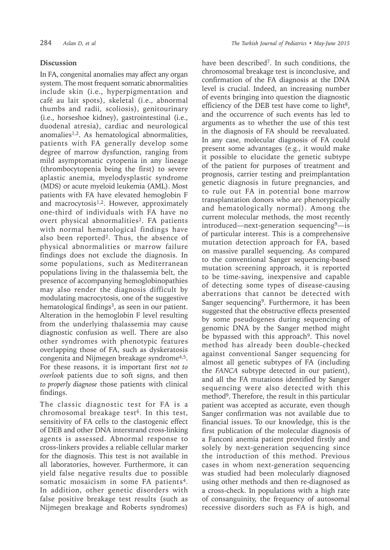## **Discussion**

In FA, congenital anomalies may affect any organ system. The most frequent somatic abnormalities include skin (i.e., hyperpigmentation and café au lait spots), skeletal (i.e., abnormal thumbs and radii, scoliosis), genitourinary (i.e., horseshoe kidney), gastrointestinal (i.e., duodenal atresia), cardiac and neurological anomalies1,2. As hematological abnormalities, patients with FA generally develop some degree of marrow dysfunction, ranging from mild asymptomatic cytopenia in any lineage (thrombocytopenia being the first) to severe aplastic anemia, myelodysplastic syndrome (MDS) or acute myeloid leukemia (AML). Most patients with FA have elevated hemoglobin F and macrocytosis<sup>1,2</sup>. However, approximately one-third of individuals with FA have no overt physical abnormalities<sup>2</sup>. FA patients with normal hematological findings have also been reported<sup>2</sup>. Thus, the absence of physical abnormalities or marrow failure findings does not exclude the diagnosis. In some populations, such as Mediterranean populations living in the thalassemia belt, the presence of accompanying hemoglobinopathies may also render the diagnosis difficult by modulating macrocytosis, one of the suggestive hematological findings<sup>3</sup>, as seen in our patient. Alteration in the hemoglobin F level resulting from the underlying thalassemia may cause diagnostic confusion as well. There are also other syndromes with phenotypic features overlapping those of FA, such as dyskeratosis congenita and Nijmegen breakage syndrome4,5. For these reasons, it is important first *not to overlook* patients due to soft signs, and then *to properly diagnose* those patients with clinical findings.

The classic diagnostic test for FA is a chromosomal breakage test<sup>6</sup>. In this test, sensitivity of FA cells to the clastogenic effect of DEB and other DNA interstrand cross-linking agents is assessed. Abnormal response to cross-linkers provides a reliable cellular marker for the diagnosis. This test is not available in all laboratories, however. Furthermore, it can yield false negative results due to possible somatic mosaicism in some FA patients<sup>4</sup>. In addition, other genetic disorders with false positive breakage test results (such as Nijmegen breakage and Roberts syndromes)

have been described7. In such conditions, the chromosomal breakage test is inconclusive, and confirmation of the FA diagnosis at the DNA level is crucial. Indeed, an increasing number of events bringing into question the diagnostic efficiency of the DEB test have come to light<sup>8</sup>, and the occurrence of such events has led to arguments as to whether the use of this test in the diagnosis of FA should be reevaluated. In any case, molecular diagnosis of FA could present some advantages (e.g., it would make it possible to elucidate the genetic subtype of the patient for purposes of treatment and prognosis, carrier testing and preimplantation genetic diagnosis in future pregnancies, and to rule out FA in potential bone marrow transplantation donors who are phenotypically and hematologically normal). Among the current molecular methods, the most recently  $introduced$ —next-generation sequencing<sup>9</sup>—is of particular interest. This is a comprehensive mutation detection approach for FA, based on massive parallel sequencing. As compared to the conventional Sanger sequencing-based mutation screening approach, it is reported to be time-saving, inexpensive and capable of detecting some types of disease-causing aberrations that cannot be detected with Sanger sequencing9. Furthermore, it has been suggested that the obstructive effects presented by some pseudogenes during sequencing of genomic DNA by the Sanger method might be bypassed with this approach<sup>9</sup>. This novel method has already been double-checked against conventional Sanger sequencing for almost all genetic subtypes of FA (including the *FANCA* subtype detected in our patient), and all the FA mutations identified by Sanger sequencing were also detected with this method9. Therefore, the result in this particular patient was accepted as accurate, even though Sanger confirmation was not available due to financial issues. To our knowledge, this is the first publication of the molecular diagnosis of a Fanconi anemia patient provided firstly and solely by next-generation sequencing since the introduction of this method. Previous cases in whom next-generation sequencing was studied had been molecularly diagnosed using other methods and then re-diagnosed as a cross-check. In populations with a high rate of consanguinity, the frequency of autosomal recessive disorders such as FA is high, and